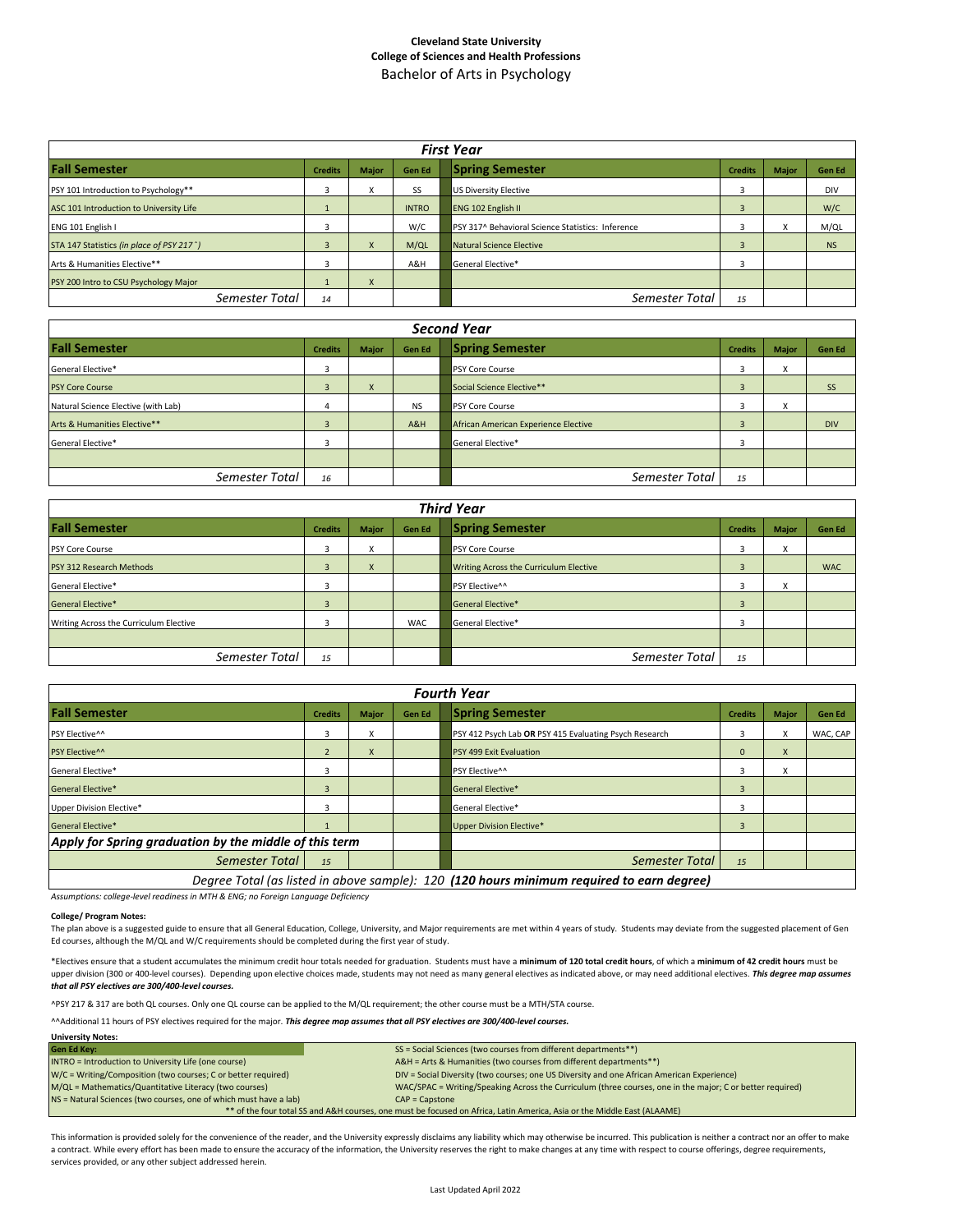## **Cleveland State University College of Sciences and Health Professions** Bachelor of Arts in Psychology

| <b>First Year</b>                                      |                |              |               |                                                   |                |              |            |  |
|--------------------------------------------------------|----------------|--------------|---------------|---------------------------------------------------|----------------|--------------|------------|--|
| <b>Fall Semester</b>                                   | <b>Credits</b> | <b>Major</b> | <b>Gen Ed</b> | <b>Spring Semester</b>                            | <b>Credits</b> | <b>Major</b> | Gen Ed     |  |
| PSY 101 Introduction to Psychology**                   | 3              | л.           | SS            | <b>US Diversity Elective</b>                      |                |              | <b>DIV</b> |  |
| ASC 101 Introduction to University Life                |                |              | <b>INTRO</b>  | <b>ENG 102 English II</b>                         |                |              | W/C        |  |
| ENG 101 English I                                      |                |              | W/C           | PSY 317^ Behavioral Science Statistics: Inference |                | v            | M/QL       |  |
| STA 147 Statistics (in place of PSY 217 <sup>^</sup> ) |                |              | M/QL          | Natural Science Elective                          |                |              | <b>NS</b>  |  |
| Arts & Humanities Elective**                           |                |              | A&H           | General Elective*                                 |                |              |            |  |
| PSY 200 Intro to CSU Psychology Major                  |                | v.           |               |                                                   |                |              |            |  |
| Semester Total                                         | 14             |              |               | Semester Total                                    | 15             |              |            |  |

| <b>Second Year</b>                  |                |              |               |                                      |                |                                      |            |  |
|-------------------------------------|----------------|--------------|---------------|--------------------------------------|----------------|--------------------------------------|------------|--|
| <b>Fall Semester</b>                | <b>Credits</b> | <b>Major</b> | <b>Gen Ed</b> | <b>Spring Semester</b>               | <b>Credits</b> | <b>Major</b>                         | Gen Ed     |  |
| General Elective*                   |                |              |               | <b>PSY Core Course</b>               |                | $\overline{\mathbf{v}}$<br>$\lambda$ |            |  |
| <b>PSY Core Course</b>              | $\overline{3}$ | $\mathbf{A}$ |               | Social Science Elective**            | -5             |                                      | <b>SS</b>  |  |
| Natural Science Elective (with Lab) |                |              | <b>NS</b>     | <b>PSY Core Course</b>               |                | $\overline{\mathbf{v}}$<br>Λ         |            |  |
| Arts & Humanities Elective**        |                |              | A&H           | African American Experience Elective |                |                                      | <b>DIV</b> |  |
| General Elective*                   |                |              |               | General Elective*                    |                |                                      |            |  |
|                                     |                |              |               |                                      |                |                                      |            |  |
| Semester Total                      | 16             |              |               | Semester Total                       | 15             |                                      |            |  |

| <b>Third Year</b>                      |                |              |               |                                        |                |              |               |
|----------------------------------------|----------------|--------------|---------------|----------------------------------------|----------------|--------------|---------------|
| <b>Fall Semester</b>                   | <b>Credits</b> | <b>Major</b> | <b>Gen Ed</b> | <b>Spring Semester</b>                 | <b>Credits</b> | <b>Major</b> | <b>Gen Ed</b> |
| PSY Core Course                        | з              | x            |               | <b>PSY Core Course</b>                 | 3              | X            |               |
| PSY 312 Research Methods               | з              | X            |               | Writing Across the Curriculum Elective | 3              |              | <b>WAC</b>    |
| General Elective*                      |                |              |               | PSY Elective^^                         | 3              | X            |               |
| General Elective*                      |                |              |               | General Elective*                      | 3              |              |               |
| Writing Across the Curriculum Elective |                |              | <b>WAC</b>    | <b>General Elective*</b>               | 3              |              |               |
|                                        |                |              |               |                                        |                |              |               |
| Semester Total                         | 15             |              |               | Semester Total                         | 15             |              |               |

| <b>Fourth Year</b>                                                                        |                |              |               |                                                        |                |              |               |
|-------------------------------------------------------------------------------------------|----------------|--------------|---------------|--------------------------------------------------------|----------------|--------------|---------------|
| <b>Fall Semester</b>                                                                      | <b>Credits</b> | <b>Major</b> | <b>Gen Ed</b> | <b>Spring Semester</b>                                 | <b>Credits</b> | <b>Major</b> | <b>Gen Ed</b> |
| PSY Elective <sup>^^</sup>                                                                | 3              | X            |               | PSY 412 Psych Lab OR PSY 415 Evaluating Psych Research | 3              | x            | WAC, CAP      |
| PSY Elective <sup>^^</sup>                                                                | $\overline{2}$ | X            |               | PSY 499 Exit Evaluation                                | $\mathbf{0}$   | X            |               |
| General Elective*                                                                         | 3              |              |               | PSY Elective^^                                         | 3              | x            |               |
| General Elective*                                                                         | 3              |              |               | <b>General Elective*</b>                               | 3              |              |               |
| Upper Division Elective*                                                                  | 3              |              |               | <b>General Elective*</b>                               | 3              |              |               |
| General Elective*                                                                         |                |              |               | <b>Upper Division Elective*</b>                        | 3              |              |               |
| Apply for Spring graduation by the middle of this term                                    |                |              |               |                                                        |                |              |               |
| Semester Total                                                                            | 15             |              |               | Semester Total                                         | 15             |              |               |
| Degree Total (as listed in above sample): 120 (120 hours minimum required to earn degree) |                |              |               |                                                        |                |              |               |

*Assumptions: college-level readiness in MTH & ENG; no Foreign Language Deficiency*

### **College/ Program Notes:**

The plan above is a suggested guide to ensure that all General Education, College, University, and Major requirements are met within 4 years of study. Students may deviate from the suggested placement of Gen Ed courses, although the M/QL and W/C requirements should be completed during the first year of study.

\*Electives ensure that a student accumulates the minimum credit hour totals needed for graduation. Students must have a **minimum of 120 total credit hours**, of which a **minimum of 42 credit hours** must be upper division (300 or 400-level courses). Depending upon elective choices made, students may not need as many general electives as indicated above, or may need additional electives. *This degree map assumes that all PSY electives are 300/400-level courses.*

^PSY 217 & 317 are both QL courses. Only one QL course can be applied to the M/QL requirement; the other course must be a MTH/STA course.

^^Additional 11 hours of PSY electives required for the major. *This degree map assumes that all PSY electives are 300/400-level courses.*

| <b>University Notes:</b>                                                                                                |                                                                                                           |  |  |  |  |
|-------------------------------------------------------------------------------------------------------------------------|-----------------------------------------------------------------------------------------------------------|--|--|--|--|
| <b>Gen Ed Key:</b>                                                                                                      | SS = Social Sciences (two courses from different departments**)                                           |  |  |  |  |
| <b>INTRO</b> = Introduction to University Life (one course)                                                             | A&H = Arts & Humanities (two courses from different departments**)                                        |  |  |  |  |
| W/C = Writing/Composition (two courses; C or better required)                                                           | DIV = Social Diversity (two courses; one US Diversity and one African American Experience)                |  |  |  |  |
| M/QL = Mathematics/Quantitative Literacy (two courses)                                                                  | WAC/SPAC = Writing/Speaking Across the Curriculum (three courses, one in the major; C or better required) |  |  |  |  |
| NS = Natural Sciences (two courses, one of which must have a lab)                                                       | $CAP = \text{C}$                                                                                          |  |  |  |  |
| ** of the four total SS and A&H courses, one must be focused on Africa, Latin America, Asia or the Middle East (ALAAME) |                                                                                                           |  |  |  |  |

This information is provided solely for the convenience of the reader, and the University expressly disclaims any liability which may otherwise be incurred. This publication is neither a contract nor an offer to make a contract. While every effort has been made to ensure the accuracy of the information, the University reserves the right to make changes at any time with respect to course offerings, degree requirements, services provided, or any other subject addressed herein.